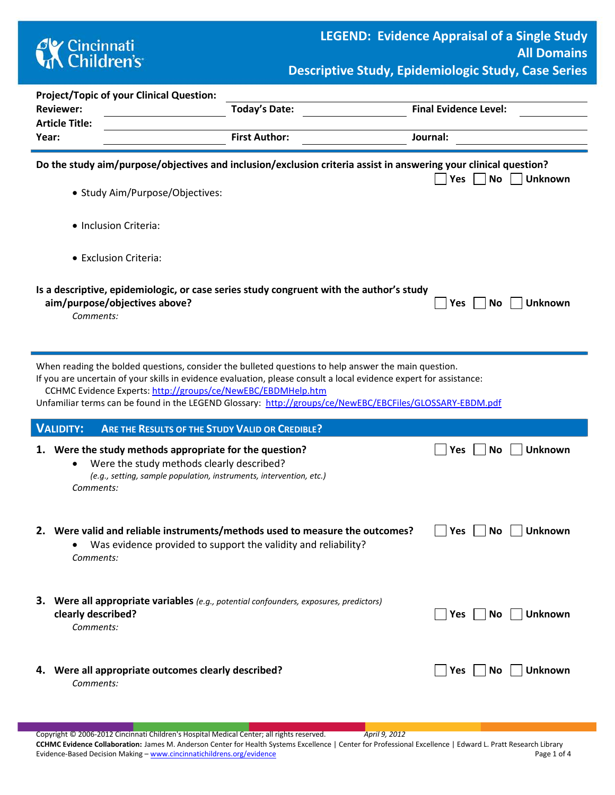

|                                                                                                                                                                                                                                                                                                                                                                                                        | <b>Project/Topic of your Clinical Question:</b>                                                                                                                                          |                                                                                                                                                |                                    |  |  |  |  |  |
|--------------------------------------------------------------------------------------------------------------------------------------------------------------------------------------------------------------------------------------------------------------------------------------------------------------------------------------------------------------------------------------------------------|------------------------------------------------------------------------------------------------------------------------------------------------------------------------------------------|------------------------------------------------------------------------------------------------------------------------------------------------|------------------------------------|--|--|--|--|--|
|                                                                                                                                                                                                                                                                                                                                                                                                        | <b>Reviewer:</b>                                                                                                                                                                         | Today's Date:                                                                                                                                  | <b>Final Evidence Level:</b>       |  |  |  |  |  |
|                                                                                                                                                                                                                                                                                                                                                                                                        | <b>Article Title:</b>                                                                                                                                                                    |                                                                                                                                                |                                    |  |  |  |  |  |
| Year:                                                                                                                                                                                                                                                                                                                                                                                                  |                                                                                                                                                                                          | <b>First Author:</b>                                                                                                                           | Journal:                           |  |  |  |  |  |
|                                                                                                                                                                                                                                                                                                                                                                                                        | Do the study aim/purpose/objectives and inclusion/exclusion criteria assist in answering your clinical question?<br>No<br>Yes<br><b>Unknown</b><br>• Study Aim/Purpose/Objectives:       |                                                                                                                                                |                                    |  |  |  |  |  |
|                                                                                                                                                                                                                                                                                                                                                                                                        | · Inclusion Criteria:                                                                                                                                                                    |                                                                                                                                                |                                    |  |  |  |  |  |
|                                                                                                                                                                                                                                                                                                                                                                                                        | • Exclusion Criteria:                                                                                                                                                                    |                                                                                                                                                |                                    |  |  |  |  |  |
|                                                                                                                                                                                                                                                                                                                                                                                                        | aim/purpose/objectives above?<br>Comments:                                                                                                                                               | Is a descriptive, epidemiologic, or case series study congruent with the author's study                                                        | <b>Unknown</b><br>No<br><b>Yes</b> |  |  |  |  |  |
| When reading the bolded questions, consider the bulleted questions to help answer the main question.<br>If you are uncertain of your skills in evidence evaluation, please consult a local evidence expert for assistance:<br>CCHMC Evidence Experts: http://groups/ce/NewEBC/EBDMHelp.htm<br>Unfamiliar terms can be found in the LEGEND Glossary: http://groups/ce/NewEBC/EBCFiles/GLOSSARY-EBDM.pdf |                                                                                                                                                                                          |                                                                                                                                                |                                    |  |  |  |  |  |
|                                                                                                                                                                                                                                                                                                                                                                                                        | <b>VALIDITY:</b><br>ARE THE RESULTS OF THE STUDY VALID OR CREDIBLE?                                                                                                                      |                                                                                                                                                |                                    |  |  |  |  |  |
|                                                                                                                                                                                                                                                                                                                                                                                                        | 1. Were the study methods appropriate for the question?<br>Were the study methods clearly described?<br>(e.g., setting, sample population, instruments, intervention, etc.)<br>Comments: |                                                                                                                                                | <b>Unknown</b><br>Yes<br>No        |  |  |  |  |  |
|                                                                                                                                                                                                                                                                                                                                                                                                        | Comments:                                                                                                                                                                                | 2. Were valid and reliable instruments/methods used to measure the outcomes?<br>Was evidence provided to support the validity and reliability? | Unknown<br>Yes<br>No               |  |  |  |  |  |
|                                                                                                                                                                                                                                                                                                                                                                                                        | <b>3.</b> Were all appropriate variables (e.g., potential confounders, exposures, predictors)<br>clearly described?<br>Comments:                                                         |                                                                                                                                                | <b>Unknown</b><br> Yes<br>No       |  |  |  |  |  |
|                                                                                                                                                                                                                                                                                                                                                                                                        | 4. Were all appropriate outcomes clearly described?<br>Comments:                                                                                                                         |                                                                                                                                                | Yes<br>No<br><b>Unknown</b>        |  |  |  |  |  |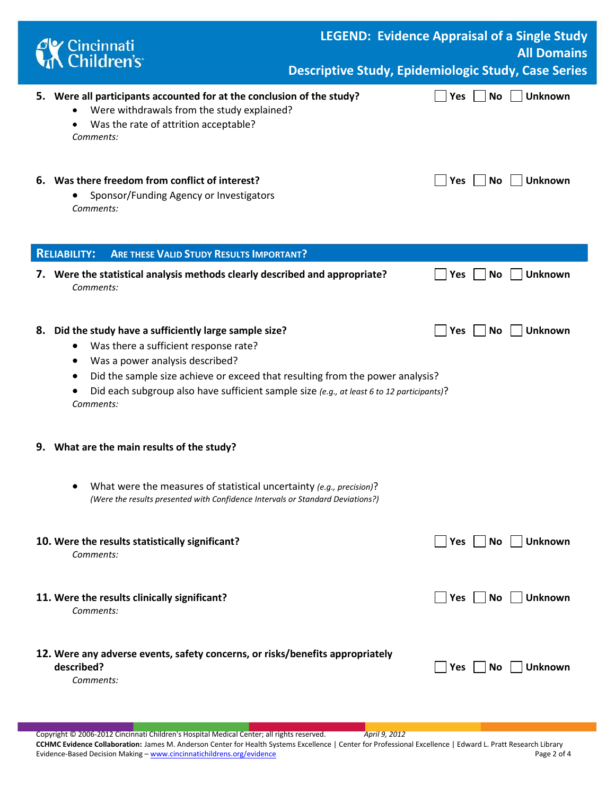| Cincinnati<br>K Children's                                                                                                                                                                                                                                                                                                                                  | <b>LEGEND: Evidence Appraisal of a Single Study</b><br><b>All Domains</b><br>Descriptive Study, Epidemiologic Study, Case Series |
|-------------------------------------------------------------------------------------------------------------------------------------------------------------------------------------------------------------------------------------------------------------------------------------------------------------------------------------------------------------|----------------------------------------------------------------------------------------------------------------------------------|
| 5. Were all participants accounted for at the conclusion of the study?<br>Were withdrawals from the study explained?<br>Was the rate of attrition acceptable?<br>Comments:                                                                                                                                                                                  | <b>No</b><br><b>Unknown</b><br>Yes                                                                                               |
| 6. Was there freedom from conflict of interest?<br>Sponsor/Funding Agency or Investigators<br>Comments:                                                                                                                                                                                                                                                     | Yes<br><b>Unknown</b><br><b>No</b>                                                                                               |
| <b>RELIABILITY:</b><br><b>ARE THESE VALID STUDY RESULTS IMPORTANT?</b>                                                                                                                                                                                                                                                                                      |                                                                                                                                  |
| 7. Were the statistical analysis methods clearly described and appropriate?<br>Comments:                                                                                                                                                                                                                                                                    | <b>Unknown</b><br>Yes<br><b>No</b>                                                                                               |
| Did the study have a sufficiently large sample size?<br>8.<br>Was there a sufficient response rate?<br>$\bullet$<br>Was a power analysis described?<br>Did the sample size achieve or exceed that resulting from the power analysis?<br>$\bullet$<br>Did each subgroup also have sufficient sample size (e.g., at least 6 to 12 participants)?<br>Comments: | <b>Unknown</b><br>Yes<br>No                                                                                                      |
| 9. What are the main results of the study?                                                                                                                                                                                                                                                                                                                  |                                                                                                                                  |
| What were the measures of statistical uncertainty (e.g., precision)?<br>(Were the results presented with Confidence Intervals or Standard Deviations?)                                                                                                                                                                                                      |                                                                                                                                  |
| 10. Were the results statistically significant?<br>Comments:                                                                                                                                                                                                                                                                                                | Yes  <br><b>Unknown</b><br>No                                                                                                    |
| 11. Were the results clinically significant?<br>Comments:                                                                                                                                                                                                                                                                                                   | <b>Unknown</b><br>Yes<br>No.                                                                                                     |
| 12. Were any adverse events, safety concerns, or risks/benefits appropriately<br>described?<br>Comments:                                                                                                                                                                                                                                                    | Yes<br>No.<br><b>Unknown</b>                                                                                                     |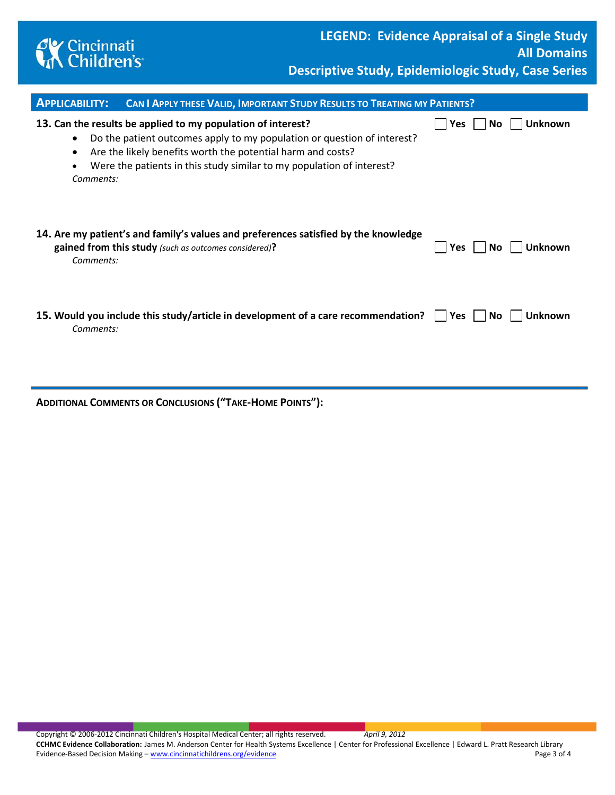

| <b>APPLICABILITY:</b> | <b>CAN I APPLY THESE VALID, IMPORTANT STUDY RESULTS TO TREATING MY PATIENTS?</b>                                                                                                                                                                                                |            |                       |
|-----------------------|---------------------------------------------------------------------------------------------------------------------------------------------------------------------------------------------------------------------------------------------------------------------------------|------------|-----------------------|
| Comments:             | 13. Can the results be applied to my population of interest?<br>Do the patient outcomes apply to my population or question of interest?<br>Are the likely benefits worth the potential harm and costs?<br>Were the patients in this study similar to my population of interest? | Yes        | <b>Unknown</b><br>No. |
| Comments:             | 14. Are my patient's and family's values and preferences satisfied by the knowledge<br>gained from this study (such as outcomes considered)?                                                                                                                                    | <b>Yes</b> | <b>Unknown</b><br>No. |
| Comments:             | 15. Would you include this study/article in development of a care recommendation?                                                                                                                                                                                               | Yes        | <b>Unknown</b><br>No. |

**ADDITIONAL COMMENTS OR CONCLUSIONS ("TAKE-HOME POINTS"):**